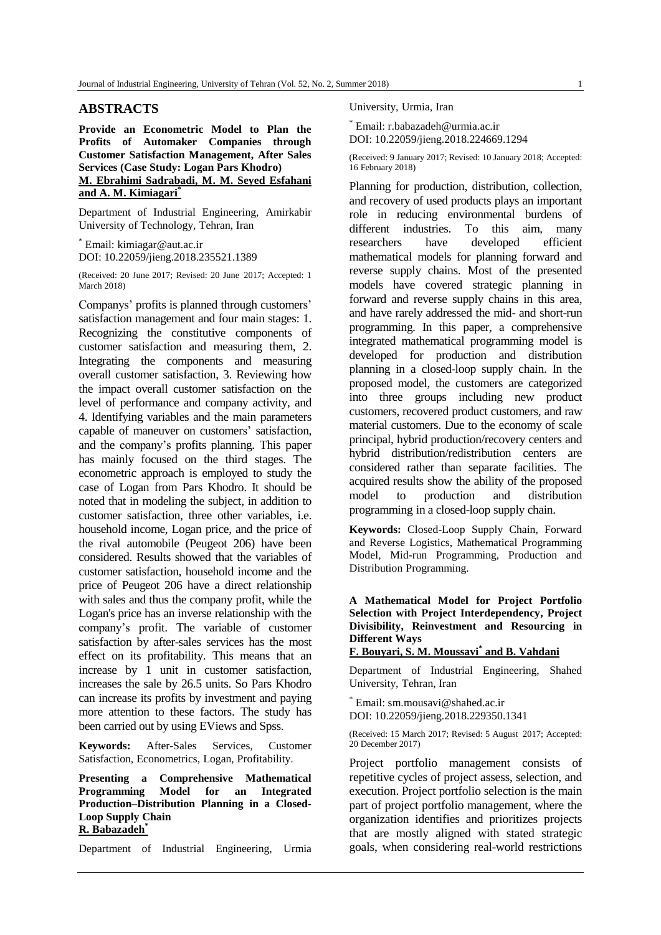## **ABSTRACTS**

**Provide an Econometric Model to Plan the Profits of Automaker Companies through Customer Satisfaction Management, After Sales Services (Case Study: Logan Pars Khodro) M. Ebrahimi Sadrabadi, M. M. Seyed Esfahani and A. M. Kimiagari\***

Department of Industrial Engineering, Amirkabir University of Technology, Tehran, Iran

\* Email: kimiagar@aut.ac.ir DOI: 10.22059/jieng.2018.235521.1389

(Received: 20 June 2017; Revised: 20 June 2017; Accepted: 1 March 2018)

Companys' profits is planned through customers' satisfaction management and four main stages: 1. Recognizing the constitutive components of customer satisfaction and measuring them, 2. Integrating the components and measuring overall customer satisfaction, 3. Reviewing how the impact overall customer satisfaction on the level of performance and company activity, and 4. Identifying variables and the main parameters capable of maneuver on customers' satisfaction, and the company's profits planning. This paper has mainly focused on the third stages. The econometric approach is employed to study the case of Logan from Pars Khodro. It should be noted that in modeling the subject, in addition to customer satisfaction, three other variables, i.e. household income, Logan price, and the price of the rival automobile (Peugeot 206) have been considered. Results showed that the variables of customer satisfaction, household income and the price of Peugeot 206 have a direct relationship with sales and thus the company profit, while the Logan's price has an inverse relationship with the company's profit. The variable of customer satisfaction by after-sales services has the most effect on its profitability. This means that an increase by 1 unit in customer satisfaction, increases the sale by 26.5 units. So Pars Khodro can increase its profits by investment and paying more attention to these factors. The study has been carried out by using EViews and Spss.

**Keywords:** After-Sales Services, Customer Satisfaction, Econometrics, Logan, Profitability.

**Presenting a Comprehensive Mathematical Programming Model for an Integrated Production–Distribution Planning in a Closed-Loop Supply Chain R. Babazadeh\***

Department of Industrial Engineering, Urmia

University, Urmia, Iran

\* Email: r.babazadeh@urmia.ac.ir DOI: 10.22059/jieng.2018.224669.1294

(Received: 9 January 2017; Revised: 10 January 2018; Accepted: 16 February 2018)

Planning for production, distribution, collection, and recovery of used products plays an important role in reducing environmental burdens of different industries. To this aim, many researchers have developed efficient mathematical models for planning forward and reverse supply chains. Most of the presented models have covered strategic planning in forward and reverse supply chains in this area, and have rarely addressed the mid- and short-run programming. In this paper, a comprehensive integrated mathematical programming model is developed for production and distribution planning in a closed-loop supply chain. In the proposed model, the customers are categorized into three groups including new product customers, recovered product customers, and raw material customers. Due to the economy of scale principal, hybrid production/recovery centers and hybrid distribution/redistribution centers are considered rather than separate facilities. The acquired results show the ability of the proposed model to production and distribution programming in a closed-loop supply chain.

**Keywords:** Closed-Loop Supply Chain, Forward and Reverse Logistics, Mathematical Programming Model, Mid-run Programming, Production and Distribution Programming.

**A Mathematical Model for Project Portfolio Selection with Project Interdependency, Project Divisibility, Reinvestment and Resourcing in Different Ways**

# **F. Bouyari, S. M. Moussavi\* and B. Vahdani**

Department of Industrial Engineering, Shahed University, Tehran, Iran

Email: sm.mousavi@shahed.ac.ir DOI: 10.22059/jieng.2018.229350.1341

(Received: 15 March 2017; Revised: 5 August 2017; Accepted: 20 December 2017)

Project portfolio management consists of repetitive cycles of project assess, selection, and execution. Project portfolio selection is the main part of project portfolio management, where the organization identifies and prioritizes projects that are mostly aligned with stated strategic goals, when considering real-world restrictions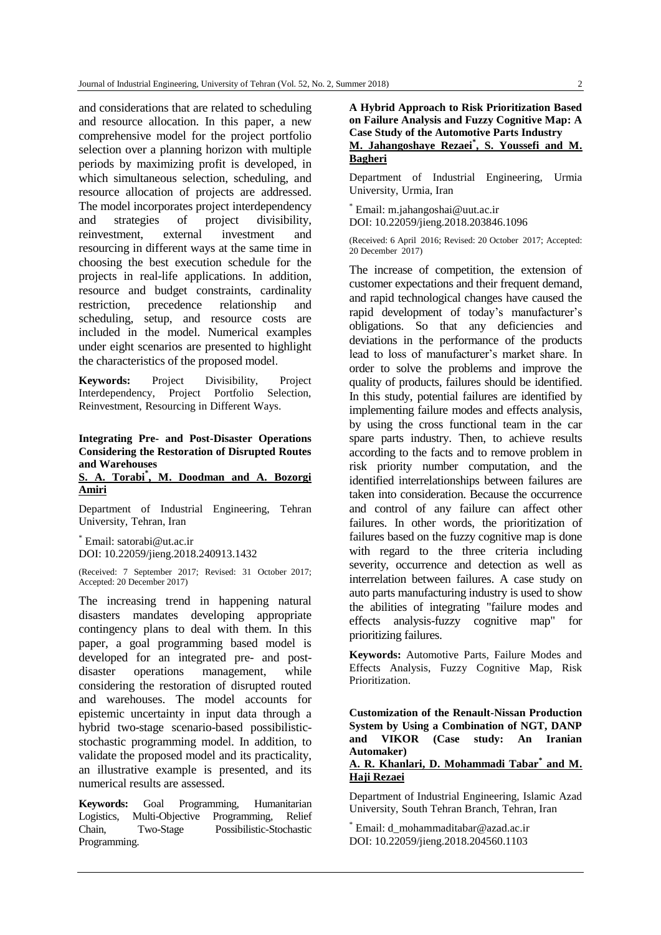and considerations that are related to scheduling and resource allocation. In this paper, a new comprehensive model for the project portfolio selection over a planning horizon with multiple periods by maximizing profit is developed, in which simultaneous selection, scheduling, and resource allocation of projects are addressed. The model incorporates project interdependency and strategies of project divisibility, reinvestment, external investment and resourcing in different ways at the same time in choosing the best execution schedule for the projects in real-life applications. In addition, resource and budget constraints, cardinality restriction, precedence relationship and scheduling, setup, and resource costs are included in the model. Numerical examples under eight scenarios are presented to highlight the characteristics of the proposed model.

**Keywords:** Project Divisibility, Project Interdependency, Project Portfolio Selection, Reinvestment, Resourcing in Different Ways.

## **Integrating Pre- and Post-Disaster Operations Considering the Restoration of Disrupted Routes and Warehouses**

## **S. A. Torabi\* , M. Doodman and A. Bozorgi Amiri**

Department of Industrial Engineering, Tehran University, Tehran, Iran

\* Email: satorabi@ut.ac.ir DOI: 10.22059/jieng.2018.240913.1432

(Received: 7 September 2017; Revised: 31 October 2017; Accepted: 20 December 2017)

The increasing trend in happening natural disasters mandates developing appropriate contingency plans to deal with them. In this paper, a goal programming based model is developed for an integrated pre- and postdisaster operations management, while considering the restoration of disrupted routed and warehouses. The model accounts for epistemic uncertainty in input data through a hybrid two-stage scenario-based possibilisticstochastic programming model. In addition, to validate the proposed model and its practicality, an illustrative example is presented, and its numerical results are assessed.

**Keywords:** Goal Programming, Humanitarian Logistics, Multi-Objective Programming, Relief Chain, Two-Stage Possibilistic-Stochastic Programming.

**A Hybrid Approach to Risk Prioritization Based on Failure Analysis and Fuzzy Cognitive Map: A Case Study of the Automotive Parts Industry M. Jahangoshaye Rezaei\* , S. Youssefi and M. Bagheri**

Department of Industrial Engineering, Urmia University, Urmia, Iran

\* Email: m.jahangoshai@uut.ac.ir DOI: 10.22059/jieng.2018.203846.1096

(Received: 6 April 2016; Revised: 20 October 2017; Accepted: 20 December 2017)

The increase of competition, the extension of customer expectations and their frequent demand, and rapid technological changes have caused the rapid development of today's manufacturer's obligations. So that any deficiencies and deviations in the performance of the products lead to loss of manufacturer's market share. In order to solve the problems and improve the quality of products, failures should be identified. In this study, potential failures are identified by implementing failure modes and effects analysis, by using the cross functional team in the car spare parts industry. Then, to achieve results according to the facts and to remove problem in risk priority number computation, and the identified interrelationships between failures are taken into consideration. Because the occurrence and control of any failure can affect other failures. In other words, the prioritization of failures based on the fuzzy cognitive map is done with regard to the three criteria including severity, occurrence and detection as well as interrelation between failures. A case study on auto parts manufacturing industry is used to show the abilities of integrating "failure modes and effects analysis-fuzzy cognitive map" for prioritizing failures.

**Keywords:** Automotive Parts, Failure Modes and Effects Analysis, Fuzzy Cognitive Map, Risk Prioritization.

**Customization of the Renault-Nissan Production System by Using a Combination of NGT, DANP and VIKOR (Case study: An Iranian Automaker)**

# **A. R. Khanlari, D. Mohammadi Tabar\* and M. Haji Rezaei**

Department of Industrial Engineering, Islamic Azad University, South Tehran Branch, Tehran, Iran

Email: d\_mohammaditabar@azad.ac.ir DOI: 10.22059/jieng.2018.204560.1103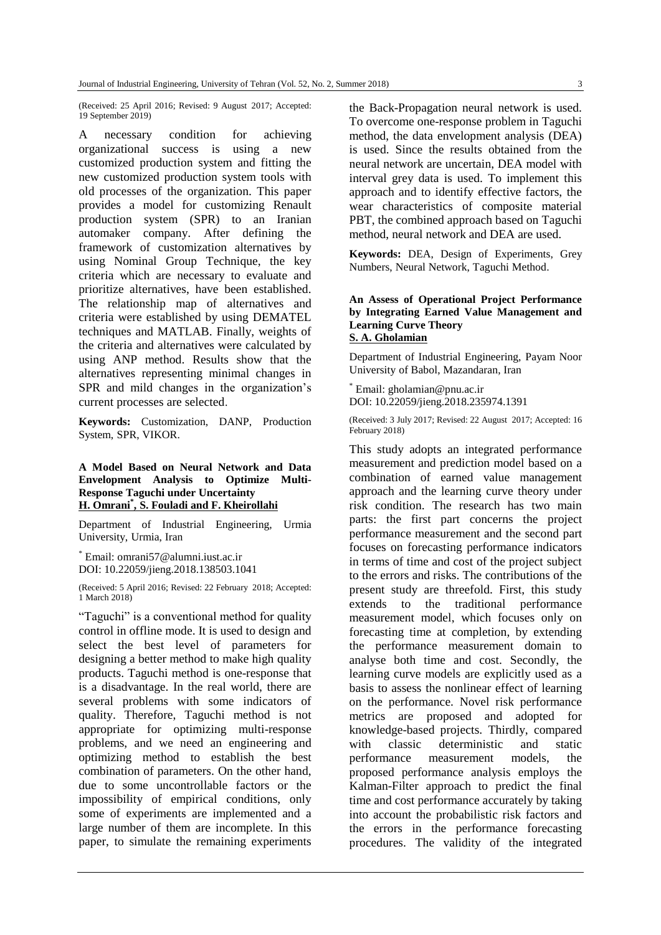(Received: 25 April 2016; Revised: 9 August 2017; Accepted: 19 September 2019)

A necessary condition for achieving organizational success is using a new customized production system and fitting the new customized production system tools with old processes of the organization. This paper provides a model for customizing Renault production system (SPR) to an Iranian automaker company. After defining the framework of customization alternatives by using Nominal Group Technique, the key criteria which are necessary to evaluate and prioritize alternatives, have been established. The relationship map of alternatives and criteria were established by using DEMATEL techniques and MATLAB. Finally, weights of the criteria and alternatives were calculated by using ANP method. Results show that the alternatives representing minimal changes in SPR and mild changes in the organization's current processes are selected.

**Keywords:** Customization, DANP, Production System, SPR, VIKOR.

## **A Model Based on Neural Network and Data Envelopment Analysis to Optimize Multi-Response Taguchi under Uncertainty H. Omrani\* , S. Fouladi and F. Kheirollahi**

Department of Industrial Engineering, Urmia University, Urmia, Iran

\* Email: omrani57@alumni.iust.ac.ir DOI: 10.22059/jieng.2018.138503.1041

(Received: 5 April 2016; Revised: 22 February 2018; Accepted: 1 March 2018)

"Taguchi" is a conventional method for quality control in offline mode. It is used to design and select the best level of parameters for designing a better method to make high quality products. Taguchi method is one-response that is a disadvantage. In the real world, there are several problems with some indicators of quality. Therefore, Taguchi method is not appropriate for optimizing multi-response problems, and we need an engineering and optimizing method to establish the best combination of parameters. On the other hand, due to some uncontrollable factors or the impossibility of empirical conditions, only some of experiments are implemented and a large number of them are incomplete. In this paper, to simulate the remaining experiments

the Back-Propagation neural network is used. To overcome one-response problem in Taguchi method, the data envelopment analysis (DEA) is used. Since the results obtained from the neural network are uncertain, DEA model with interval grey data is used. To implement this approach and to identify effective factors, the wear characteristics of composite material PBT, the combined approach based on Taguchi method, neural network and DEA are used.

**Keywords:** DEA, Design of Experiments, Grey Numbers, Neural Network, Taguchi Method.

#### **An Assess of Operational Project Performance by Integrating Earned Value Management and Learning Curve Theory S. A. Gholamian**

Department of Industrial Engineering, Payam Noor University of Babol, Mazandaran, Iran

Email: gholamian@pnu.ac.ir DOI: 10.22059/jieng.2018.235974.1391

(Received: 3 July 2017; Revised: 22 August 2017; Accepted: 16 February 2018)

This study adopts an integrated performance measurement and prediction model based on a combination of earned value management approach and the learning curve theory under risk condition. The research has two main parts: the first part concerns the project performance measurement and the second part focuses on forecasting performance indicators in terms of time and cost of the project subject to the errors and risks. The contributions of the present study are threefold. First, this study extends to the traditional performance measurement model, which focuses only on forecasting time at completion, by extending the performance measurement domain to analyse both time and cost. Secondly, the learning curve models are explicitly used as a basis to assess the nonlinear effect of learning on the performance. Novel risk performance metrics are proposed and adopted for knowledge-based projects. Thirdly, compared with classic deterministic and static performance measurement models, the proposed performance analysis employs the Kalman-Filter approach to predict the final time and cost performance accurately by taking into account the probabilistic risk factors and the errors in the performance forecasting procedures. The validity of the integrated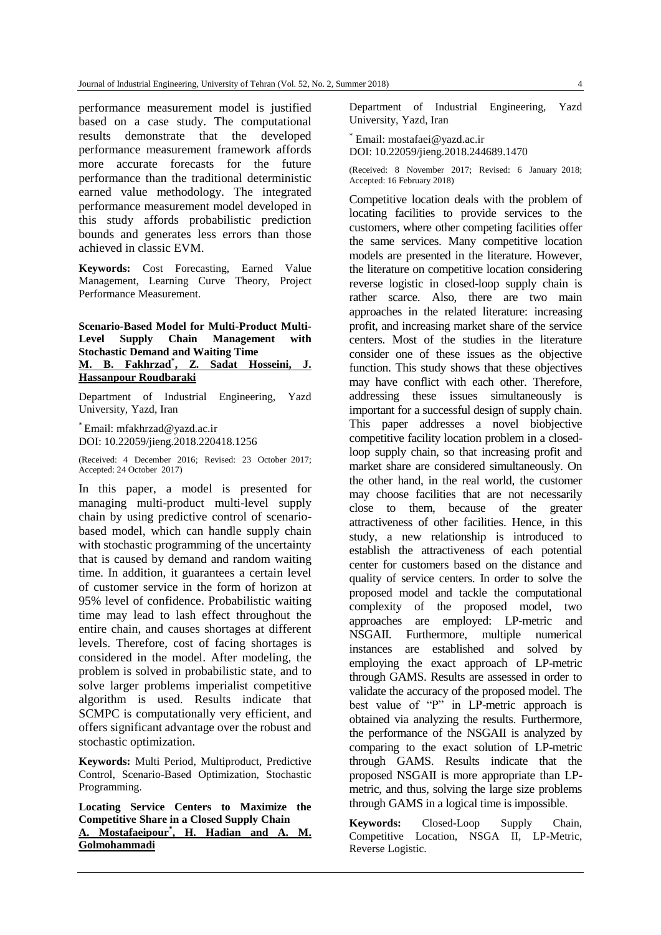performance measurement model is justified based on a case study. The computational results demonstrate that the developed performance measurement framework affords more accurate forecasts for the future performance than the traditional deterministic earned value methodology. The integrated performance measurement model developed in this study affords probabilistic prediction bounds and generates less errors than those achieved in classic EVM.

**Keywords:** Cost Forecasting, Earned Value Management, Learning Curve Theory, Project Performance Measurement.

## **Scenario-Based Model for Multi-Product Multi-Level Supply Chain Management with Stochastic Demand and Waiting Time M. B. Fakhrzad\* , Z. Sadat Hosseini, J. Hassanpour Roudbaraki**

Department of Industrial Engineering, Yazd University, Yazd, Iran

\* Email: mfakhrzad@yazd.ac.ir DOI: 10.22059/jieng.2018.220418.1256

(Received: 4 December 2016; Revised: 23 October 2017; Accepted: 24 October 2017)

In this paper, a model is presented for managing multi-product multi-level supply chain by using predictive control of scenariobased model, which can handle supply chain with stochastic programming of the uncertainty that is caused by demand and random waiting time. In addition, it guarantees a certain level of customer service in the form of horizon at 95% level of confidence. Probabilistic waiting time may lead to lash effect throughout the entire chain, and causes shortages at different levels. Therefore, cost of facing shortages is considered in the model. After modeling, the problem is solved in probabilistic state, and to solve larger problems imperialist competitive algorithm is used. Results indicate that SCMPC is computationally very efficient, and offers significant advantage over the robust and stochastic optimization.

**Keywords:** Multi Period, Multiproduct, Predictive Control, Scenario-Based Optimization, Stochastic Programming.

**Locating Service Centers to Maximize the Competitive Share in a Closed Supply Chain A. Mostafaeipour\* , H. Hadian and A. M. Golmohammadi**

Department of Industrial Engineering, Yazd University, Yazd, Iran

\* Email: mostafaei@yazd.ac.ir DOI: 10.22059/jieng.2018.244689.1470

(Received: 8 November 2017; Revised: 6 January 2018; Accepted: 16 February 2018)

Competitive location deals with the problem of locating facilities to provide services to the customers, where other competing facilities offer the same services. Many competitive location models are presented in the literature. However, the literature on competitive location considering reverse logistic in closed-loop supply chain is rather scarce. Also, there are two main approaches in the related literature: increasing profit, and increasing market share of the service centers. Most of the studies in the literature consider one of these issues as the objective function. This study shows that these objectives may have conflict with each other. Therefore, addressing these issues simultaneously is important for a successful design of supply chain. This paper addresses a novel biobjective competitive facility location problem in a closedloop supply chain, so that increasing profit and market share are considered simultaneously. On the other hand, in the real world, the customer may choose facilities that are not necessarily close to them, because of the greater attractiveness of other facilities. Hence, in this study, a new relationship is introduced to establish the attractiveness of each potential center for customers based on the distance and quality of service centers. In order to solve the proposed model and tackle the computational complexity of the proposed model, two approaches are employed: LP-metric and NSGAII. Furthermore, multiple numerical instances are established and solved by employing the exact approach of LP-metric through GAMS. Results are assessed in order to validate the accuracy of the proposed model. The best value of "P" in LP-metric approach is obtained via analyzing the results. Furthermore, the performance of the NSGAII is analyzed by comparing to the exact solution of LP-metric through GAMS. Results indicate that the proposed NSGAII is more appropriate than LPmetric, and thus, solving the large size problems through GAMS in a logical time is impossible.

**Keywords:** Closed-Loop Supply Chain, Competitive Location, NSGA II, LP-Metric, Reverse Logistic.